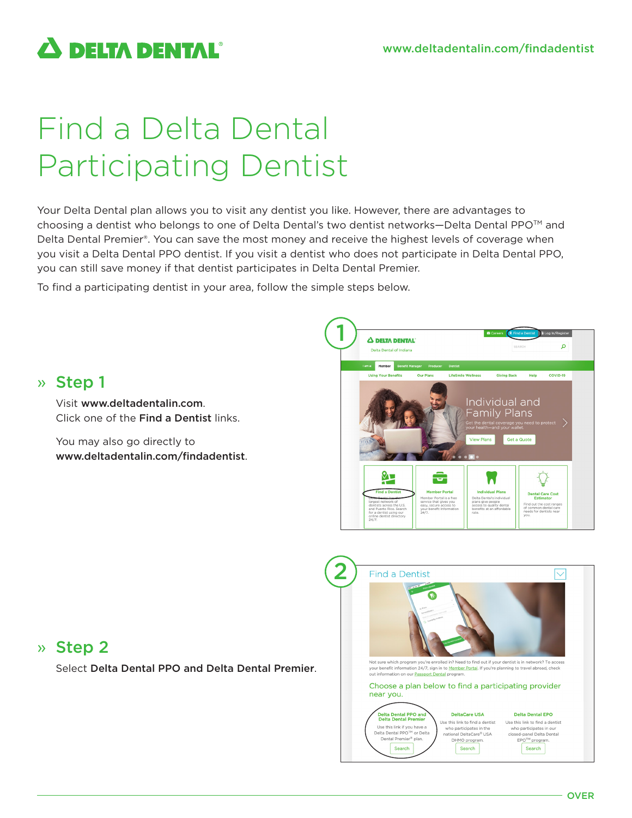**A DELTA DENTAL**®

# Find a Delta Dental Participating Dentist

Your Delta Dental plan allows you to visit any dentist you like. However, there are advantages to choosing a dentist who belongs to one of Delta Dental's two dentist networks—Delta Dental PPO<sup>™</sup> and Delta Dental Premier®. You can save the most money and receive the highest levels of coverage when you visit a Delta Dental PPO dentist. If you visit a dentist who does not participate in Delta Dental PPO, you can still save money if that dentist participates in Delta Dental Premier.

To find a participating dentist in your area, follow the simple steps below.



## » Step 2

» Step 1

Visit www.deltadentalin.com.

You may also go directly to

Click one of the Find a Dentist links.

www.deltadentalin.com/findadentist.

Select Delta Dental PPO and Delta Dental Premier.